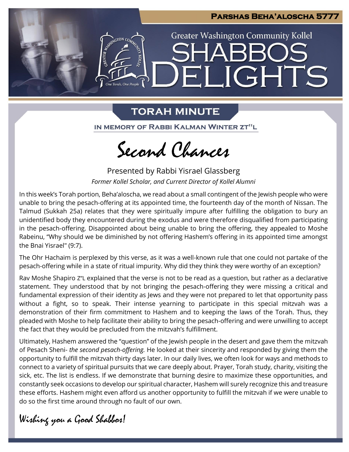

## **TORAH MINUTE**

IN MEMORY OF RABBI KALMAN WINTER ZT"L

Second Chances

Presented by Rabbi Yisrael Glassberg *Former Kollel Scholar, and Current Director of Kollel Alumni*

In this week's Torah portion, Beha'aloscha, we read about a small contingent of the Jewish people who were unable to bring the pesach-offering at its appointed time, the fourteenth day of the month of Nissan. The Talmud (Sukkah 25a) relates that they were spiritually impure after fulfilling the obligation to bury an unidentified body they encountered during the exodus and were therefore disqualified from participating in the pesach-offering. Disappointed about being unable to bring the offering, they appealed to Moshe Rabeinu, "Why should we be diminished by not offering Hashem's offering in its appointed time amongst the Bnai Yisrael" (9:7).

The Ohr Hachaim is perplexed by this verse, as it was a well-known rule that one could not partake of the pesach-offering while in a state of ritual impurity. Why did they think they were worthy of an exception?

Rav Moshe Shapiro Z"L explained that the verse is not to be read as a question, but rather as a declarative statement. They understood that by not bringing the pesach-offering they were missing a critical and fundamental expression of their identity as Jews and they were not prepared to let that opportunity pass without a fight, so to speak. Their intense yearning to participate in this special mitzvah was a demonstration of their firm commitment to Hashem and to keeping the laws of the Torah. Thus, they pleaded with Moshe to help facilitate their ability to bring the pesach-offering and were unwilling to accept the fact that they would be precluded from the mitzvah's fulfillment.

Ultimately, Hashem answered the "question" of the Jewish people in the desert and gave them the mitzvah of Pesach Sheni- *the second pesach-offering.* He looked at their sincerity and responded by giving them the opportunity to fulfill the mitzvah thirty days later. In our daily lives, we often look for ways and methods to connect to a variety of spiritual pursuits that we care deeply about. Prayer, Torah study, charity, visiting the sick, etc. The list is endless. If we demonstrate that burning desire to maximize these opportunities, and constantly seek occasions to develop our spiritual character, Hashem will surely recognize this and treasure these efforts. Hashem might even afford us another opportunity to fulfill the mitzvah if we were unable to do so the first time around through no fault of our own.

Wishing you a Good Shabbos!